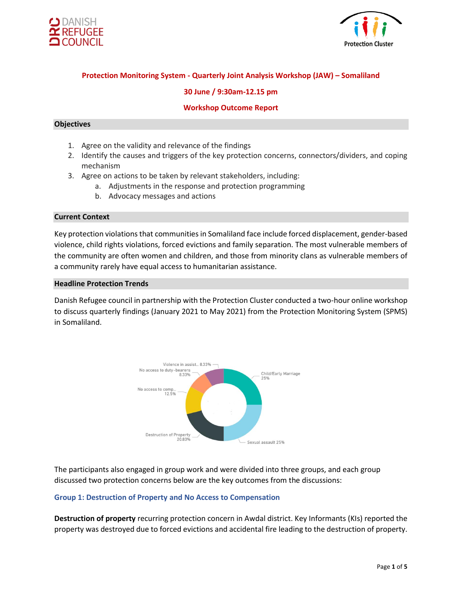



# **Protection Monitoring System - Quarterly Joint Analysis Workshop (JAW) – Somaliland**

### **30 June / 9:30am-12.15 pm**

### **Workshop Outcome Report**

### **Objectives**

- 1. Agree on the validity and relevance of the findings
- 2. Identify the causes and triggers of the key protection concerns, connectors/dividers, and coping mechanism
- 3. Agree on actions to be taken by relevant stakeholders, including:
	- a. Adjustments in the response and protection programming
	- b. Advocacy messages and actions

#### **Current Context**

Key protection violations that communities in Somaliland face include forced displacement, gender-based violence, child rights violations, forced evictions and family separation. The most vulnerable members of the community are often women and children, and those from minority clans as vulnerable members of a community rarely have equal access to humanitarian assistance.

#### **Headline Protection Trends**

Danish Refugee council in partnership with the Protection Cluster conducted a two-hour online workshop to discuss quarterly findings (January 2021 to May 2021) from the Protection Monitoring System (SPMS) in Somaliland.



The participants also engaged in group work and were divided into three groups, and each group discussed two protection concerns below are the key outcomes from the discussions:

#### **Group 1: Destruction of Property and No Access to Compensation**

**Destruction of property** recurring protection concern in Awdal district. Key Informants (KIs) reported the property was destroyed due to forced evictions and accidental fire leading to the destruction of property.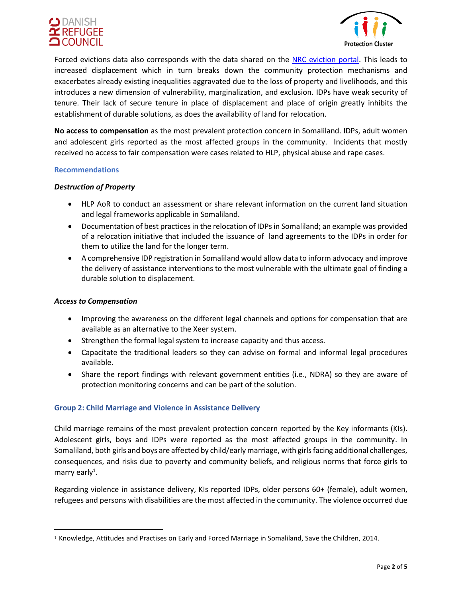



Forced evictions data also corresponds with the data shared on the [NRC eviction portal.](https://evictions.nrcsystems.net/evictions.php) This leads to increased displacement which in turn breaks down the community protection mechanisms and exacerbates already existing inequalities aggravated due to the loss of property and livelihoods, and this introduces a new dimension of vulnerability, marginalization, and exclusion. IDPs have weak security of tenure. Their lack of secure tenure in place of displacement and place of origin greatly inhibits the establishment of durable solutions, as does the availability of land for relocation.

**No access to compensation** as the most prevalent protection concern in Somaliland. IDPs, adult women and adolescent girls reported as the most affected groups in the community. Incidents that mostly received no access to fair compensation were cases related to HLP, physical abuse and rape cases.

#### **Recommendations**

### *Destruction of Property*

- HLP AoR to conduct an assessment or share relevant information on the current land situation and legal frameworks applicable in Somaliland.
- Documentation of best practices in the relocation of IDPs in Somaliland; an example was provided of a relocation initiative that included the issuance of land agreements to the IDPs in order for them to utilize the land for the longer term.
- A comprehensive IDP registration in Somaliland would allow data to inform advocacy and improve the delivery of assistance interventions to the most vulnerable with the ultimate goal of finding a durable solution to displacement.

#### *Access to Compensation*

- Improving the awareness on the different legal channels and options for compensation that are available as an alternative to the Xeer system.
- Strengthen the formal legal system to increase capacity and thus access.
- Capacitate the traditional leaders so they can advise on formal and informal legal procedures available.
- Share the report findings with relevant government entities (i.e., NDRA) so they are aware of protection monitoring concerns and can be part of the solution.

### **Group 2: Child Marriage and Violence in Assistance Delivery**

Child marriage remains of the most prevalent protection concern reported by the Key informants (KIs). Adolescent girls, boys and IDPs were reported as the most affected groups in the community. In Somaliland, both girls and boys are affected by child/early marriage, with girls facing additional challenges, consequences, and risks due to poverty and community beliefs, and religious norms that force girls to marry early<sup>1</sup>.

Regarding violence in assistance delivery, KIs reported IDPs, older persons 60+ (female), adult women, refugees and persons with disabilities are the most affected in the community. The violence occurred due

<sup>1</sup> Knowledge, Attitudes and Practises on Early and Forced Marriage in Somaliland, Save the Children, 2014.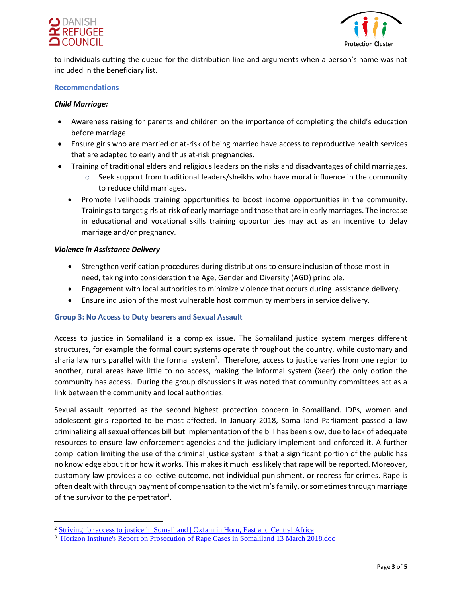



to individuals cutting the queue for the distribution line and arguments when a person's name was not included in the beneficiary list.

#### **Recommendations**

### *Child Marriage:*

- Awareness raising for parents and children on the importance of completing the child's education before marriage.
- Ensure girls who are married or at-risk of being married have access to reproductive health services that are adapted to early and thus at-risk pregnancies.
- Training of traditional elders and religious leaders on the risks and disadvantages of child marriages.
	- $\circ$  Seek support from traditional leaders/sheikhs who have moral influence in the community to reduce child marriages.
	- Promote livelihoods training opportunities to boost income opportunities in the community. Trainings to target girls at-risk of early marriage and those that are in early marriages. The increase in educational and vocational skills training opportunities may act as an incentive to delay marriage and/or pregnancy.

### *Violence in Assistance Delivery*

- Strengthen verification procedures during distributions to ensure inclusion of those most in need, taking into consideration the Age, Gender and Diversity (AGD) principle.
- Engagement with local authorities to minimize violence that occurs during assistance delivery.
- Ensure inclusion of the most vulnerable host community members in service delivery.

### **Group 3: No Access to Duty bearers and Sexual Assault**

Access to justice in Somaliland is a complex issue. The Somaliland justice system merges different structures, for example the formal court systems operate throughout the country, while customary and sharia law runs parallel with the formal system<sup>2</sup>. Therefore, access to justice varies from one region to another, rural areas have little to no access, making the informal system (Xeer) the only option the community has access. During the group discussions it was noted that community committees act as a link between the community and local authorities.

Sexual assault reported as the second highest protection concern in Somaliland. IDPs, women and adolescent girls reported to be most affected. In January 2018, Somaliland Parliament passed a law criminalizing all sexual offences bill but implementation of the bill has been slow, due to lack of adequate resources to ensure law enforcement agencies and the judiciary implement and enforced it. A further complication limiting the use of the criminal justice system is that a significant portion of the public has no knowledge about it or how it works. This makes it much less likely that rape will be reported. Moreover, customary law provides a collective outcome, not individual punishment, or redress for crimes. Rape is often dealt with through payment of compensation to the victim's family, or sometimes through marriage of the survivor to the perpetrator<sup>3</sup>.

<sup>&</sup>lt;sup>2</sup> [Striving for access to justice in Somaliland | Oxfam in Horn, East and Central Africa](https://heca.oxfam.org/latest/stories/striving-access-justice-somaliland)

<sup>&</sup>lt;sup>3</sup> Horizon Institute's Report on Prosecution of Rape Cases in Somaliland 13 March 2018.doc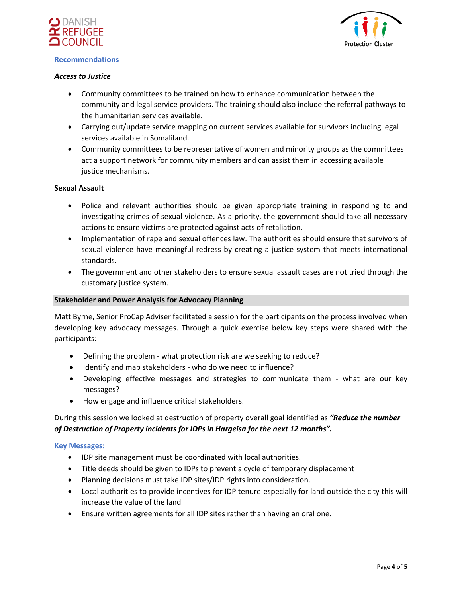

#### **Recommendations**



## *Access to Justice*

- Community committees to be trained on how to enhance communication between the community and legal service providers. The training should also include the referral pathways to the humanitarian services available.
- Carrying out/update service mapping on current services available for survivors including legal services available in Somaliland.
- Community committees to be representative of women and minority groups as the committees act a support network for community members and can assist them in accessing available justice mechanisms.

## **Sexual Assault**

- Police and relevant authorities should be given appropriate training in responding to and investigating crimes of sexual violence. As a priority, the government should take all necessary actions to ensure victims are protected against acts of retaliation.
- Implementation of rape and sexual offences law. The authorities should ensure that survivors of sexual violence have meaningful redress by creating a justice system that meets international standards.
- The government and other stakeholders to ensure sexual assault cases are not tried through the customary justice system.

#### **Stakeholder and Power Analysis for Advocacy Planning**

Matt Byrne, Senior ProCap Adviser facilitated a session for the participants on the process involved when developing key advocacy messages. Through a quick exercise below key steps were shared with the participants:

- Defining the problem what protection risk are we seeking to reduce?
- Identify and map stakeholders who do we need to influence?
- Developing effective messages and strategies to communicate them what are our key messages?
- How engage and influence critical stakeholders.

# During this session we looked at destruction of property overall goal identified as *"Reduce the number of Destruction of Property incidents for IDPs in Hargeisa for the next 12 months".*

### **Key Messages:**

- IDP site management must be coordinated with local authorities.
- Title deeds should be given to IDPs to prevent a cycle of temporary displacement
- Planning decisions must take IDP sites/IDP rights into consideration.
- Local authorities to provide incentives for IDP tenure-especially for land outside the city this will increase the value of the land
- Ensure written agreements for all IDP sites rather than having an oral one.